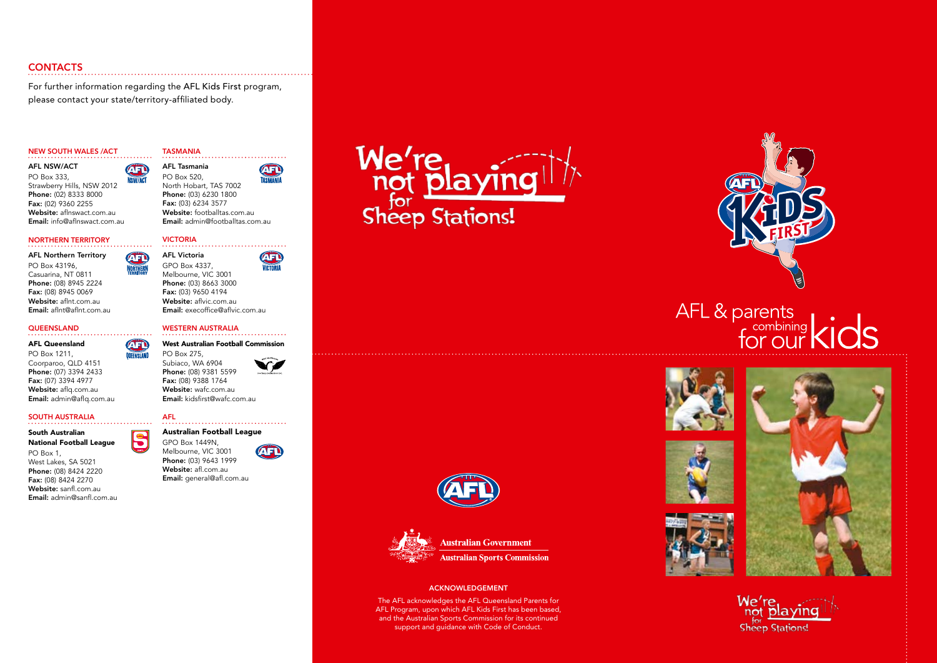# **CONTACTS**

For further information regarding the AFL Kids First program, please contact your state/territory-affiliated body.

NSW/ACT

 $\sqrt{1}$ 

NORTHERI

. . . . . . . . . ÆÐ *<u>OILEENSI AND</u>* 

IS

#### New South Wales /ACT

AFL NSW/ACT **ATIO** PO Box 333, Strawberry Hills, NSW 2012 Phone: (02) 8333 8000 Fax: (02) 9360 2255 Website: aflnswact.com.au Email: info@aflnswact.com.au

# Northern Territory

AFL Northern Territory PO Box 43196, Casuarina, NT 0811 Phone: (08) 8945 2224 Fax: (08) 8945 0069 Website: aflnt.com.au Email: aflnt@aflnt.com.au

#### **QUEENSLAND**

### AFL Queensland

PO Box 1211, Coorparoo, QLD 4151 Phone: (07) 3394 2433 Fax: (07) 3394 4977 Website: aflq.com.au Email: admin@aflq.com.au

#### South Australia

#### South Australian National Football League PO Box 1, West Lakes, SA 5021 Phone: (08) 8424 2220 Fax: (08) 8424 2270 Website: sanfl.com.au

Email: admin@sanfl.com.au

## **TASMANIA** AFL Tasmania

**AED** PO Box 520, North Hobart, TAS 7002 Phone: (03) 6230 1800 Fax: (03) 6234 3577 Website: footballtas.com.au Email: admin@footballtas.com.au

. . . . . . . . .

# VICTORIA

AFL Victoria ÆÐ GPO Box 4337, VICTORIA Melbourne, VIC 3001 Phone: (03) 8663 3000 Fax: (03) 9650 4194 Website: aflvic.com.au Email: execoffice@aflvic.com.au

#### Western Australia . . . . . . . . . . . .

#### West Australian Football Commission PO Box 275,

Subiaco, WA 6904 Phone: (08) 9381 5599 Fax: (08) 9388 1764 Website: wafc.com.au Email: kidsfirst@wafc.com.au

# AFL

GPO Box 1449N, Melbourne, VIC 3001 Phone: (03) 9643 1999

Website: afl.com.au Email: general@afl.com.au



**We're** not playin



#### ACKNOWLEDGEMENT

The AFL acknowledges the AFL Queensland Parents for AFL Program, upon which AFL Kids First has been based, and the Australian Sports Commission for its continued support and guidance with Code of Conduct.



# AFL & parents<br>for our